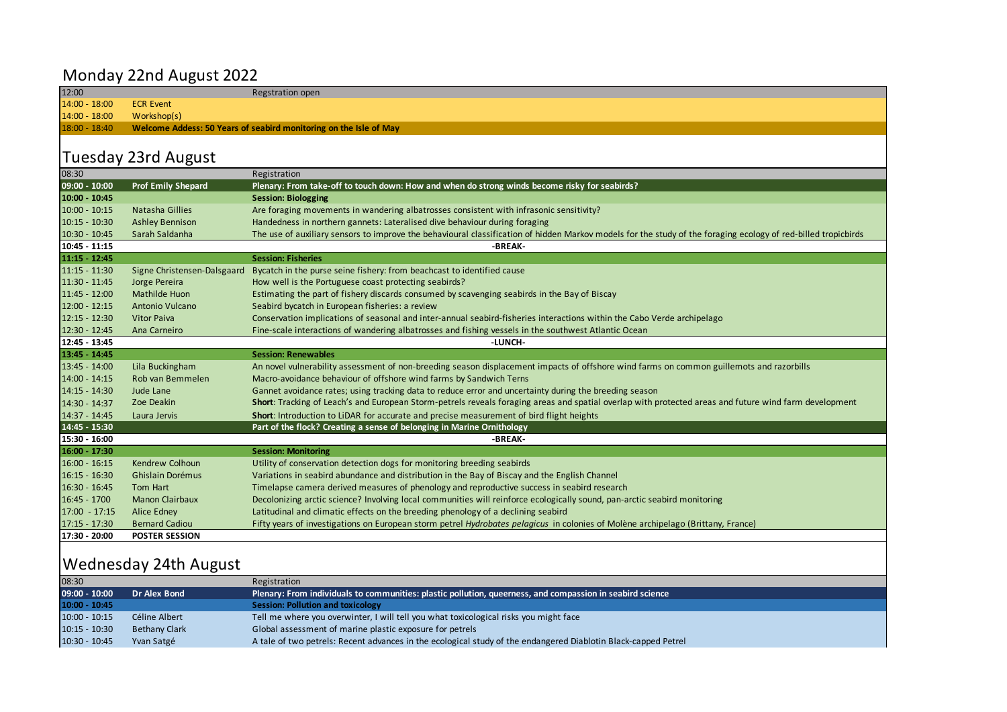## Monday 22nd August 2022

12:00 Regstration open 14:00 - 18:00 ECR Event 14:00 - 18:00 Workshop(s) 18:00 - 18:40 **Welcome Addess: 50 Years of seabird monitoring on the Isle of May** Tuesday 23rd August 08:30 Registration **09:00 - 10:00 Prof Emily Shepard Plenary: From take-off to touch down: How and when do strong winds become risky for seabirds? 10:00 - 10:45 Session: Biologging** 10:00 - 10:15 Natasha Gillies Are foraging movements in wandering albatrosses consistent with infrasonic sensitivity? 10:15 - 10:30 Ashley Bennison Handedness in northern gannets: Lateralised dive behaviour during foraging 10:30 - 10:45 Sarah Saldanha The use of auxiliary sensors to improve the behavioural classification of hidden Markov models for the study of the foraging ecology of red-billed tropicbirds **10:45 - 11:15 11:15 - 12:45 Session: Fisheries** 11:15 - 11:30 Signe Christensen-Dalsgaard Bycatch in the purse seine fishery: from beachcast to identified cause 11:30 - 11:45 Jorge Pereira How well is the Portuguese coast protecting seabirds? 11:45 - 12:00 Mathilde Huon Estimating the part of fishery discards consumed by scavenging seabirds in the Bay of Biscay 12:00 - 12:15 Antonio Vulcano Seabird bycatch in European fisheries: a review 12:15 - 12:30 Vitor Paiva Conservation implications of seasonal and inter-annual seabird-fisheries interactions within the Cabo Verde archipelago 12:30 - 12:45 Ana Carneiro Fine-scale interactions of wandering albatrosses and fishing vessels in the southwest Atlantic Ocean **12:45 - 13:45 13:45 - 14:45 Session: Renewables** 13:45 - 14:00 Lila Buckingham An novel vulnerability assessment of non-breeding season displacement impacts of offshore wind farms on common guillemots and razorbills 14:00 - 14:15 Rob van Bemmelen Macro-avoidance behaviour of offshore wind farms by Sandwich Terns 14:15 - 14:30 Jude Lane Gannet avoidance rates; using tracking data to reduce error and uncertainty during the breeding season 14:30 - 14:37 Zoe Deakin **Short**: Tracking of Leach's and European Storm-petrels reveals foraging areas and spatial overlap with protected areas and future wind farm development 14:37 - 14:45 Laura Jervis **Short**: Introduction to LiDAR for accurate and precise measurement of bird flight heights **14:45 - 15:30 Part of the flock? Creating a sense of belonging in Marine Ornithology 15:30 - 16:00 16:00 - 17:30 Session: Monitoring** 16:00 - 16:15 Kendrew Colhoun Utility of conservation detection dogs for monitoring breeding seabirds 16:15 - 16:30 Ghislain Dorémus Variations in seabird abundance and distribution in the Bay of Biscay and the English Channel 16:30 - 16:45 Tom Hart Timelapse camera derived measures of phenology and reproductive success in seabird research 16:45 - 1700 Manon Clairbaux Decolonizing arctic science? Involving local communities will reinforce ecologically sound, pan-arctic seabird monitoring 17:00 - 17:15 Alice Edney Latitudinal and climatic effects on the breeding phenology of a declining seabird 17:15 - 17:30 Bernard Cadiou Fifty years of investigations on European storm petrel *Hydrobates pelagicus* in colonies of Molène archipelago (Brittany, France) **17:30 - 20:00 -BREAK- -LUNCH- -BREAK-POSTER SESSION**

## Wednesday 24th August

| 08:30           |                      | Registration                                                                                                   |
|-----------------|----------------------|----------------------------------------------------------------------------------------------------------------|
| 09:00 - 10:00   | Dr Alex Bond         | Plenary: From individuals to communities: plastic pollution, queerness, and compassion in seabird science      |
| 10:00 - 10:45   |                      | <b>Session: Pollution and toxicology</b>                                                                       |
| $10:00 - 10:15$ | Céline Albert        | Tell me where you overwinter, I will tell you what toxicological risks you might face                          |
| $10:15 - 10:30$ | <b>Bethany Clark</b> | Global assessment of marine plastic exposure for petrels                                                       |
| $10:30 - 10:45$ | Yvan Satgé           | A tale of two petrels: Recent advances in the ecological study of the endangered Diablotin Black-capped Petrel |